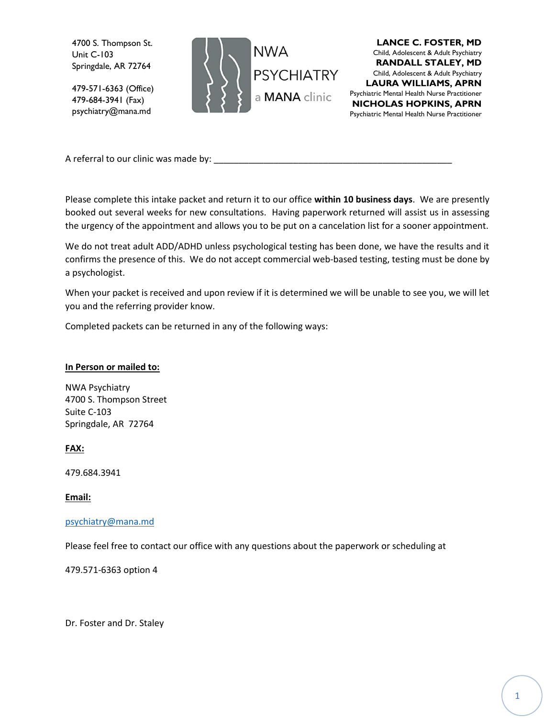4700 S. Thompson St. Unit C-103 Springdale, AR 72764

479-571-6363 (Office) 479-684-3941 (Fax) psychiatry@mana.md



**LANCE C. FOSTER, MD** Child, Adolescent & Adult Psychiatry **RANDALL STALEY, MD**  Child, Adolescent & Adult Psychiatry **LAURA WILLIAMS, APRN** Psychiatric Mental Health Nurse Practitioner **NICHOLAS HOPKINS, APRN** Psychiatric Mental Health Nurse Practitioner

A referral to our clinic was made by: \_\_\_\_\_\_\_\_\_\_\_\_\_\_\_\_\_\_\_\_\_\_\_\_\_\_\_\_\_\_\_\_\_\_\_\_\_\_\_\_\_\_\_\_\_\_\_\_

Please complete this intake packet and return it to our office **within 10 business days**. We are presently booked out several weeks for new consultations. Having paperwork returned will assist us in assessing the urgency of the appointment and allows you to be put on a cancelation list for a sooner appointment.

We do not treat adult ADD/ADHD unless psychological testing has been done, we have the results and it confirms the presence of this. We do not accept commercial web-based testing, testing must be done by a psychologist.

When your packet is received and upon review if it is determined we will be unable to see you, we will let you and the referring provider know.

Completed packets can be returned in any of the following ways:

#### **In Person or mailed to:**

NWA Psychiatry 4700 S. Thompson Street Suite C-103 Springdale, AR 72764

**FAX:**

479.684.3941

**Email:**

#### [psychiatry@mana.md](mailto:psychiatry@mana.md)

Please feel free to contact our office with any questions about the paperwork or scheduling at

479.571-6363 option 4

Dr. Foster and Dr. Staley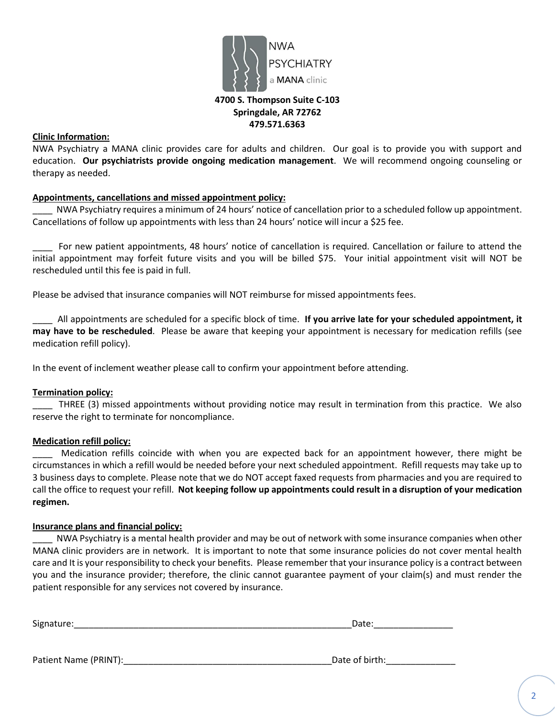

## **4700 S. Thompson Suite C-103 Springdale, AR 72762 479.571.6363**

### **Clinic Information:**

NWA Psychiatry a MANA clinic provides care for adults and children. Our goal is to provide you with support and education. **Our psychiatrists provide ongoing medication management**. We will recommend ongoing counseling or therapy as needed.

### **Appointments, cancellations and missed appointment policy:**

NWA Psychiatry requires a minimum of 24 hours' notice of cancellation prior to a scheduled follow up appointment. Cancellations of follow up appointments with less than 24 hours' notice will incur a \$25 fee.

For new patient appointments, 48 hours' notice of cancellation is required. Cancellation or failure to attend the initial appointment may forfeit future visits and you will be billed \$75. Your initial appointment visit will NOT be rescheduled until this fee is paid in full.

Please be advised that insurance companies will NOT reimburse for missed appointments fees.

\_\_\_\_ All appointments are scheduled for a specific block of time. **If you arrive late for your scheduled appointment, it may have to be rescheduled**. Please be aware that keeping your appointment is necessary for medication refills (see medication refill policy).

In the event of inclement weather please call to confirm your appointment before attending.

### **Termination policy:**

THREE (3) missed appointments without providing notice may result in termination from this practice. We also reserve the right to terminate for noncompliance.

### **Medication refill policy:**

\_\_\_\_ Medication refills coincide with when you are expected back for an appointment however, there might be circumstances in which a refill would be needed before your next scheduled appointment. Refill requests may take up to 3 business days to complete. Please note that we do NOT accept faxed requests from pharmacies and you are required to call the office to request your refill. **Not keeping follow up appointments could result in a disruption of your medication regimen.** 

#### **Insurance plans and financial policy:**

NWA Psychiatry is a mental health provider and may be out of network with some insurance companies when other MANA clinic providers are in network. It is important to note that some insurance policies do not cover mental health care and It is your responsibility to check your benefits. Please remember that your insurance policy is a contract between you and the insurance provider; therefore, the clinic cannot guarantee payment of your claim(s) and must render the patient responsible for any services not covered by insurance.

| $\sim$<br>Signature: | مate: |
|----------------------|-------|
|                      |       |

Patient Name (PRINT):\_\_\_\_\_\_\_\_\_\_\_\_\_\_\_\_\_\_\_\_\_\_\_\_\_\_\_\_\_\_\_\_\_\_\_\_\_\_\_\_\_\_Date of birth:\_\_\_\_\_\_\_\_\_\_\_\_\_\_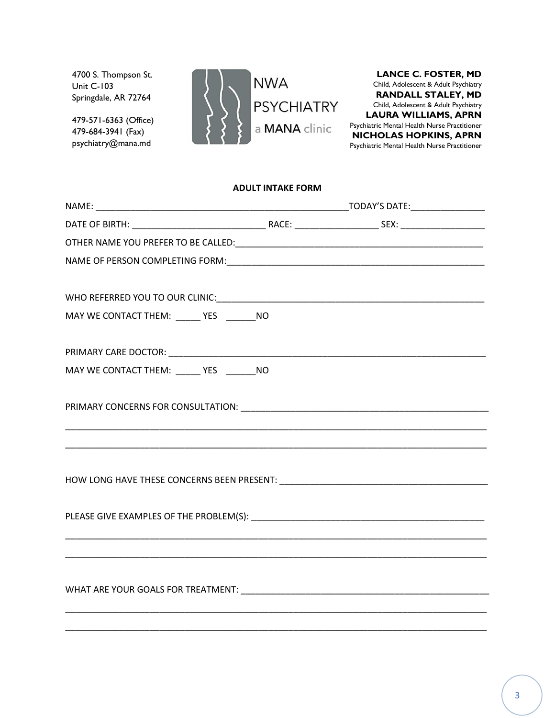4700 S. Thompson St. Unit C-103 Springdale, AR 72764

479-571-6363 (Office) 479-684-3941 (Fax) psychiatry@mana.md



**LANCE C. FOSTER, MD** Child, Adolescent & Adult Psychiatry **RANDALL STALEY, MD**  Child, Adolescent & Adult Psychiatry **LAURA WILLIAMS, APRN** Psychiatric Mental Health Nurse Practitioner **NICHOLAS HOPKINS, APRN** Psychiatric Mental Health Nurse Practitioner

**ADULT INTAKE FORM**

| MAY WE CONTACT THEM: _____ YES ______ NO |  |  |
|------------------------------------------|--|--|
|                                          |  |  |
|                                          |  |  |
| MAY WE CONTACT THEM: YES NO              |  |  |
|                                          |  |  |
|                                          |  |  |
|                                          |  |  |
|                                          |  |  |
|                                          |  |  |
|                                          |  |  |
|                                          |  |  |
|                                          |  |  |
|                                          |  |  |
|                                          |  |  |
|                                          |  |  |

\_\_\_\_\_\_\_\_\_\_\_\_\_\_\_\_\_\_\_\_\_\_\_\_\_\_\_\_\_\_\_\_\_\_\_\_\_\_\_\_\_\_\_\_\_\_\_\_\_\_\_\_\_\_\_\_\_\_\_\_\_\_\_\_\_\_\_\_\_\_\_\_\_\_\_\_\_\_\_\_\_\_\_\_\_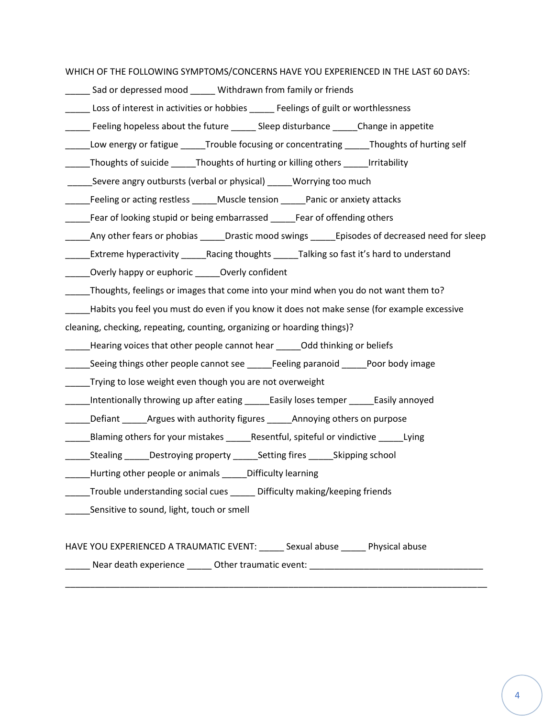#### WHICH OF THE FOLLOWING SYMPTOMS/CONCERNS HAVE YOU EXPERIENCED IN THE LAST 60 DAYS:

- \_\_\_\_\_ Sad or depressed mood \_\_\_\_\_ Withdrawn from family or friends
- \_\_\_\_\_ Loss of interest in activities or hobbies \_\_\_\_\_ Feelings of guilt or worthlessness
- **\_\_\_\_\_** Feeling hopeless about the future \_\_\_\_\_ Sleep disturbance \_\_\_\_\_Change in appetite
- Low energy or fatigue Trouble focusing or concentrating Thoughts of hurting self
- \_\_\_\_\_Thoughts of suicide \_\_\_\_\_Thoughts of hurting or killing others \_\_\_\_\_Irritability
- Severe angry outbursts (verbal or physical) Worrying too much
- \_\_\_\_\_Feeling or acting restless \_\_\_\_\_Muscle tension \_\_\_\_\_Panic or anxiety attacks
- Fear of looking stupid or being embarrassed Fear of offending others
- Any other fears or phobias **Drastic mood swings** Episodes of decreased need for sleep
- \_\_\_\_\_Extreme hyperactivity \_\_\_\_\_Racing thoughts \_\_\_\_\_Talking so fast it's hard to understand
- \_\_\_\_\_Overly happy or euphoric \_\_\_\_\_Overly confident
- \_\_\_\_\_Thoughts, feelings or images that come into your mind when you do not want them to?
- \_\_\_\_Habits you feel you must do even if you know it does not make sense (for example excessive
- cleaning, checking, repeating, counting, organizing or hoarding things)?
- Hearing voices that other people cannot hear and odd thinking or beliefs
- Lacking things other people cannot see Lacking paranoid Lacking Poor body image
- \_\_\_\_\_Trying to lose weight even though you are not overweight
- Intentionally throwing up after eating Lasily loses temper Lasily annoyed
- Defiant Argues with authority figures Annoying others on purpose
- Examing others for your mistakes express Resentful, spiteful or vindictive example pring
- \_\_\_\_\_Stealing \_\_\_\_\_Destroying property \_\_\_\_\_Setting fires \_\_\_\_\_Skipping school
- \_\_\_\_Hurting other people or animals \_\_\_\_\_Difficulty learning
- \_\_\_\_\_Trouble understanding social cues \_\_\_\_\_ Difficulty making/keeping friends
- Sensitive to sound, light, touch or smell

HAVE YOU EXPERIENCED A TRAUMATIC EVENT: Sexual abuse Physical abuse

\_\_\_\_\_\_\_\_\_\_\_\_\_\_\_\_\_\_\_\_\_\_\_\_\_\_\_\_\_\_\_\_\_\_\_\_\_\_\_\_\_\_\_\_\_\_\_\_\_\_\_\_\_\_\_\_\_\_\_\_\_\_\_\_\_\_\_\_\_\_\_\_\_\_\_\_\_\_\_\_\_\_\_\_\_

Near death experience experience other traumatic event: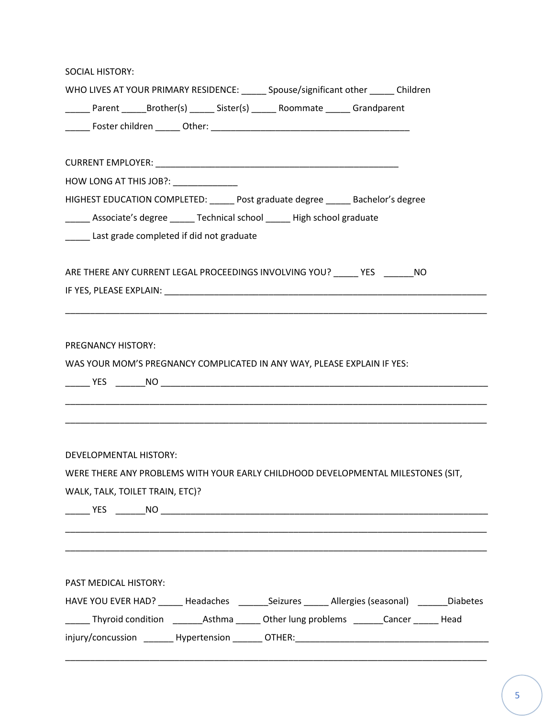SOCIAL HISTORY:

|                                 |                                                                                                                | WHO LIVES AT YOUR PRIMARY RESIDENCE: _____ Spouse/significant other _____ Children           |                                                                                                  |
|---------------------------------|----------------------------------------------------------------------------------------------------------------|----------------------------------------------------------------------------------------------|--------------------------------------------------------------------------------------------------|
|                                 |                                                                                                                | ______ Parent ______Brother(s) ______ Sister(s) ______ Roommate ______ Grandparent           |                                                                                                  |
|                                 |                                                                                                                |                                                                                              |                                                                                                  |
|                                 |                                                                                                                |                                                                                              |                                                                                                  |
|                                 |                                                                                                                |                                                                                              |                                                                                                  |
|                                 | HOW LONG AT THIS JOB?: Network and the set of the set of the set of the set of the set of the set of the set o |                                                                                              |                                                                                                  |
|                                 |                                                                                                                | HIGHEST EDUCATION COMPLETED: Post graduate degree ______ Bachelor's degree                   |                                                                                                  |
|                                 |                                                                                                                | ______ Associate's degree ______ Technical school ______ High school graduate                |                                                                                                  |
|                                 | Last grade completed if did not graduate                                                                       |                                                                                              |                                                                                                  |
|                                 |                                                                                                                |                                                                                              |                                                                                                  |
|                                 |                                                                                                                | ARE THERE ANY CURRENT LEGAL PROCEEDINGS INVOLVING YOU? ______ YES _________NO                |                                                                                                  |
|                                 |                                                                                                                |                                                                                              |                                                                                                  |
|                                 |                                                                                                                |                                                                                              |                                                                                                  |
|                                 |                                                                                                                |                                                                                              |                                                                                                  |
| PREGNANCY HISTORY:              |                                                                                                                |                                                                                              |                                                                                                  |
|                                 |                                                                                                                | WAS YOUR MOM'S PREGNANCY COMPLICATED IN ANY WAY, PLEASE EXPLAIN IF YES:                      |                                                                                                  |
|                                 |                                                                                                                |                                                                                              |                                                                                                  |
|                                 |                                                                                                                |                                                                                              |                                                                                                  |
|                                 |                                                                                                                |                                                                                              |                                                                                                  |
|                                 |                                                                                                                |                                                                                              |                                                                                                  |
| DEVELOPMENTAL HISTORY:          |                                                                                                                |                                                                                              |                                                                                                  |
|                                 |                                                                                                                | WERE THERE ANY PROBLEMS WITH YOUR EARLY CHILDHOOD DEVELOPMENTAL MILESTONES (SIT,             |                                                                                                  |
| WALK, TALK, TOILET TRAIN, ETC)? |                                                                                                                |                                                                                              |                                                                                                  |
|                                 |                                                                                                                |                                                                                              |                                                                                                  |
|                                 |                                                                                                                |                                                                                              |                                                                                                  |
|                                 |                                                                                                                |                                                                                              |                                                                                                  |
|                                 |                                                                                                                |                                                                                              |                                                                                                  |
| PAST MEDICAL HISTORY:           |                                                                                                                |                                                                                              |                                                                                                  |
|                                 |                                                                                                                |                                                                                              | HAVE YOU EVER HAD? ______ Headaches ________Seizures ______ Allergies (seasonal) _______Diabetes |
|                                 |                                                                                                                | ______ Thyroid condition ________Asthma ______ Other lung problems _______Cancer ______ Head |                                                                                                  |
|                                 |                                                                                                                |                                                                                              |                                                                                                  |
|                                 |                                                                                                                |                                                                                              |                                                                                                  |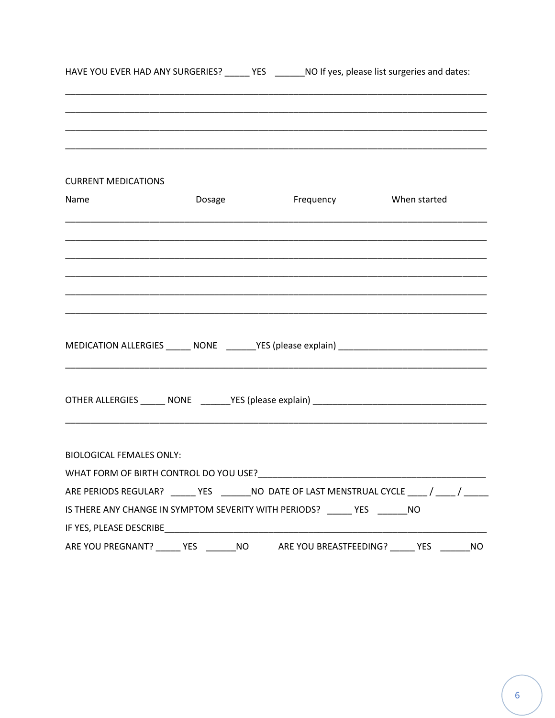| HAVE YOU EVER HAD ANY SURGERIES? ______ YES _______ NO If yes, please list surgeries and dates:                                                         |        |           |              |  |
|---------------------------------------------------------------------------------------------------------------------------------------------------------|--------|-----------|--------------|--|
|                                                                                                                                                         |        |           |              |  |
| <b>CURRENT MEDICATIONS</b>                                                                                                                              |        |           |              |  |
| Name                                                                                                                                                    | Dosage | Frequency | When started |  |
|                                                                                                                                                         |        |           |              |  |
|                                                                                                                                                         |        |           |              |  |
|                                                                                                                                                         |        |           |              |  |
|                                                                                                                                                         |        |           |              |  |
|                                                                                                                                                         |        |           |              |  |
| <b>BIOLOGICAL FEMALES ONLY:</b>                                                                                                                         |        |           |              |  |
| WHAT FORM OF BIRTH CONTROL DO YOU USE?<br>STATES AND THE STATE STATE STATES AND THE STATE STATE STATES AND THE STATE STATE STATES AND THE STATE STATE S |        |           |              |  |
| ARE PERIODS REGULAR? ______ YES _______ NO DATE OF LAST MENSTRUAL CYCLE ____ / ____ / _____                                                             |        |           |              |  |
| IS THERE ANY CHANGE IN SYMPTOM SEVERITY WITH PERIODS? ______ YES _______ NO                                                                             |        |           |              |  |
|                                                                                                                                                         |        |           |              |  |
| ARE YOU PREGNANT? ______ YES _______ NO ______ ARE YOU BREASTFEEDING? ______ YES _______                                                                |        |           | <b>NO</b>    |  |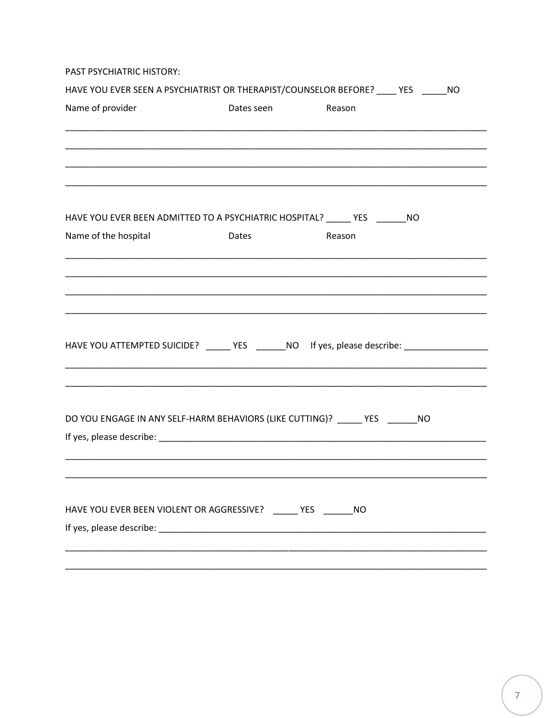| PAST PSYCHIATRIC HISTORY:                                                  |                                                                                                                                                                                                                               |                                                                                               |           |
|----------------------------------------------------------------------------|-------------------------------------------------------------------------------------------------------------------------------------------------------------------------------------------------------------------------------|-----------------------------------------------------------------------------------------------|-----------|
|                                                                            |                                                                                                                                                                                                                               | HAVE YOU EVER SEEN A PSYCHIATRIST OR THERAPIST/COUNSELOR BEFORE? ____ YES _____               | <b>NO</b> |
| Name of provider                                                           | Dates seen by the part of the part of the part of the part of the part of the part of the part of the part of the part of the part of the part of the part of the part of the part of the part of the part of the part of the | Reason                                                                                        |           |
|                                                                            |                                                                                                                                                                                                                               |                                                                                               |           |
|                                                                            |                                                                                                                                                                                                                               |                                                                                               |           |
|                                                                            |                                                                                                                                                                                                                               |                                                                                               |           |
|                                                                            |                                                                                                                                                                                                                               |                                                                                               |           |
| HAVE YOU EVER BEEN ADMITTED TO A PSYCHIATRIC HOSPITAL? _____ YES ______ NO |                                                                                                                                                                                                                               |                                                                                               |           |
| Name of the hospital                                                       | Dates                                                                                                                                                                                                                         | Reason                                                                                        |           |
|                                                                            |                                                                                                                                                                                                                               |                                                                                               |           |
|                                                                            |                                                                                                                                                                                                                               |                                                                                               |           |
|                                                                            |                                                                                                                                                                                                                               |                                                                                               |           |
|                                                                            |                                                                                                                                                                                                                               |                                                                                               |           |
|                                                                            |                                                                                                                                                                                                                               |                                                                                               |           |
|                                                                            |                                                                                                                                                                                                                               | HAVE YOU ATTEMPTED SUICIDE? ______ YES _______ NO If yes, please describe: __________________ |           |
|                                                                            |                                                                                                                                                                                                                               |                                                                                               |           |
|                                                                            |                                                                                                                                                                                                                               |                                                                                               |           |
|                                                                            |                                                                                                                                                                                                                               |                                                                                               |           |
|                                                                            |                                                                                                                                                                                                                               | DO YOU ENGAGE IN ANY SELF-HARM BEHAVIORS (LIKE CUTTING)? _____ YES _______ NO                 |           |
|                                                                            |                                                                                                                                                                                                                               |                                                                                               |           |
|                                                                            |                                                                                                                                                                                                                               |                                                                                               |           |
|                                                                            |                                                                                                                                                                                                                               |                                                                                               |           |
|                                                                            |                                                                                                                                                                                                                               |                                                                                               |           |
|                                                                            |                                                                                                                                                                                                                               |                                                                                               |           |
| HAVE YOU EVER BEEN VIOLENT OR AGGRESSIVE? _____ YES ______ NO              |                                                                                                                                                                                                                               |                                                                                               |           |
|                                                                            |                                                                                                                                                                                                                               |                                                                                               |           |
|                                                                            |                                                                                                                                                                                                                               |                                                                                               |           |
|                                                                            |                                                                                                                                                                                                                               |                                                                                               |           |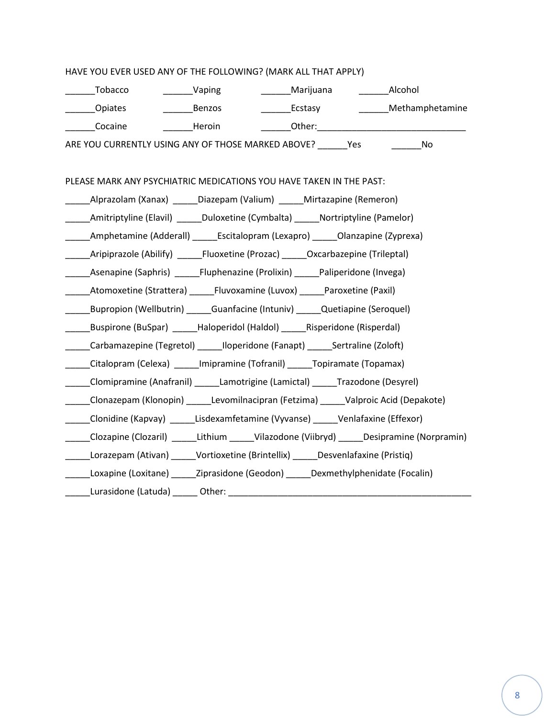| HAVE YOU EVER USED ANY OF THE FOLLOWING? (MARK ALL THAT APPLY)                                    |
|---------------------------------------------------------------------------------------------------|
| Tobacco<br>Vaping<br>Marijuana<br>____________Alcohol                                             |
| _______Opiates<br>___________Benzos<br><b>Ecstasy</b><br>_______Methamphetamine                   |
| _______Cocaine     _______Heroin      _______Other:_____________________________                  |
| ARE YOU CURRENTLY USING ANY OF THOSE MARKED ABOVE? _______ Yes<br><b>Solution</b> No              |
|                                                                                                   |
| PLEASE MARK ANY PSYCHIATRIC MEDICATIONS YOU HAVE TAKEN IN THE PAST:                               |
| ___________Alprazolam (Xanax) ___________Diazepam (Valium) _________Mirtazapine (Remeron)         |
| ______Amitriptyline (Elavil) ______Duloxetine (Cymbalta) ______Nortriptyline (Pamelor)            |
| ______Amphetamine (Adderall) ______Escitalopram (Lexapro) ______Olanzapine (Zyprexa)              |
| _________Aripiprazole (Abilify) __________Fluoxetine (Prozac) ________Oxcarbazepine (Trileptal)   |
|                                                                                                   |
| ________Atomoxetine (Strattera) _________Fluvoxamine (Luvox) ________Paroxetine (Paxil)           |
| _______Bupropion (Wellbutrin) _______Guanfacine (Intuniv) ______Quetiapine (Seroquel)             |
| ________Buspirone (BuSpar) ______Haloperidol (Haldol) _______Risperidone (Risperdal)              |
| _____Carbamazepine (Tegretol) ______Iloperidone (Fanapt) _____Sertraline (Zoloft)                 |
| _____Citalopram (Celexa) _____Imipramine (Tofranil) _____Topiramate (Topamax)                     |
| _____Clomipramine (Anafranil) _____Lamotrigine (Lamictal) _____Trazodone (Desyrel)                |
| _____Clonazepam (Klonopin) ______Levomilnacipran (Fetzima) _____Valproic Acid (Depakote)          |
| _____Clonidine (Kapvay) _____Lisdexamfetamine (Vyvanse) _____Venlafaxine (Effexor)                |
| _____Clozapine (Clozaril) _______Lithium ______Vilazodone (Viibryd) ______Desipramine (Norpramin) |
| Lorazepam (Ativan) _____Vortioxetine (Brintellix) ______Desvenlafaxine (Pristiq)                  |
| ______Loxapine (Loxitane) ______Ziprasidone (Geodon) ______Dexmethylphenidate (Focalin)           |
|                                                                                                   |

# HAVE YOU EVER USED ANY OF THE FOLLOWING? (MARK ALL THAT APPLY)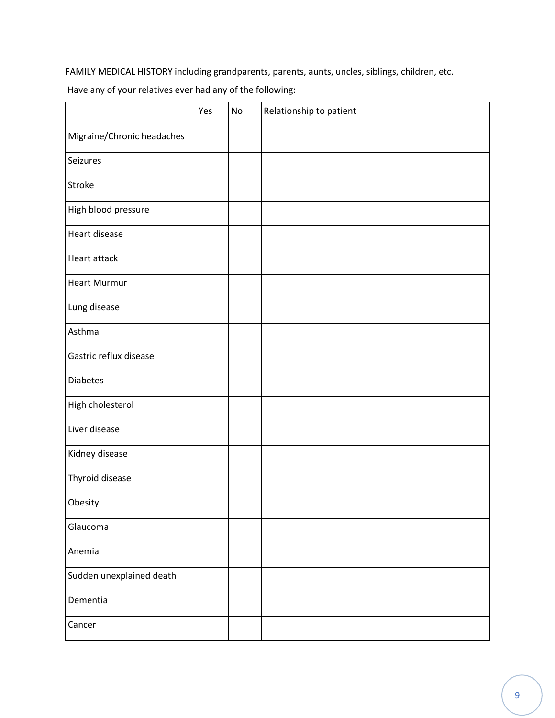FAMILY MEDICAL HISTORY including grandparents, parents, aunts, uncles, siblings, children, etc.

 $Yes$  | No | Relationship to patient Migraine/Chronic headaches Seizures Stroke High blood pressure Heart disease Heart attack Heart Murmur Lung disease Asthma Gastric reflux disease Diabetes High cholesterol Liver disease Kidney disease Thyroid disease Obesity Glaucoma Anemia Sudden unexplained death Dementia Cancer

Have any of your relatives ever had any of the following: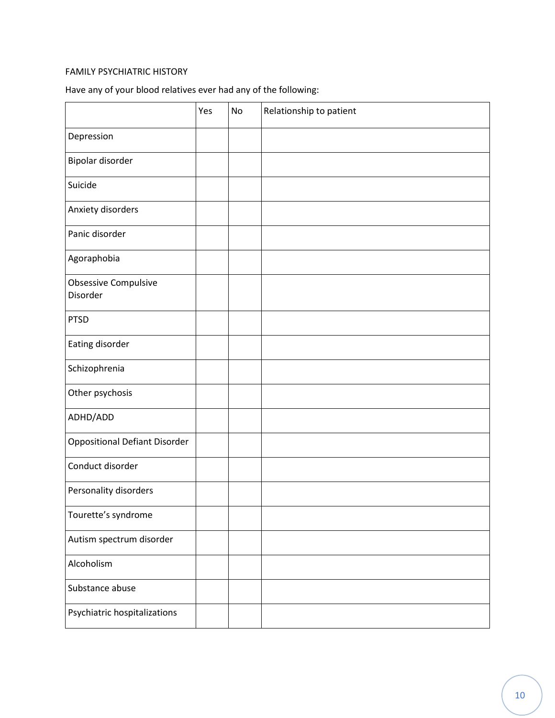### FAMILY PSYCHIATRIC HISTORY

|  | Have any of your blood relatives ever had any of the following: |  |  |
|--|-----------------------------------------------------------------|--|--|
|--|-----------------------------------------------------------------|--|--|

|                                         | Yes | <b>No</b> | Relationship to patient |
|-----------------------------------------|-----|-----------|-------------------------|
| Depression                              |     |           |                         |
| Bipolar disorder                        |     |           |                         |
| Suicide                                 |     |           |                         |
| Anxiety disorders                       |     |           |                         |
| Panic disorder                          |     |           |                         |
| Agoraphobia                             |     |           |                         |
| <b>Obsessive Compulsive</b><br>Disorder |     |           |                         |
| <b>PTSD</b>                             |     |           |                         |
| Eating disorder                         |     |           |                         |
| Schizophrenia                           |     |           |                         |
| Other psychosis                         |     |           |                         |
| ADHD/ADD                                |     |           |                         |
| <b>Oppositional Defiant Disorder</b>    |     |           |                         |
| Conduct disorder                        |     |           |                         |
| Personality disorders                   |     |           |                         |
| Tourette's syndrome                     |     |           |                         |
| Autism spectrum disorder                |     |           |                         |
| Alcoholism                              |     |           |                         |
| Substance abuse                         |     |           |                         |
| Psychiatric hospitalizations            |     |           |                         |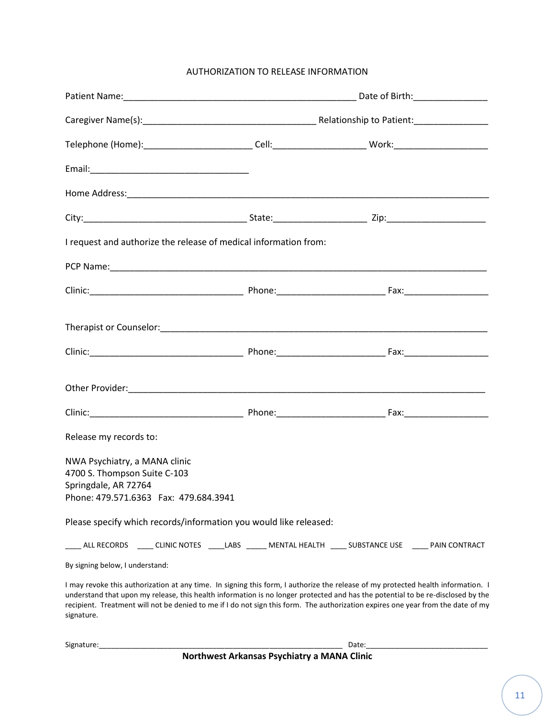### AUTHORIZATION TO RELEASE INFORMATION

| I request and authorize the release of medical information from:                                                                                                                                                                                                                                                                                                                                                      |                                                   |  |
|-----------------------------------------------------------------------------------------------------------------------------------------------------------------------------------------------------------------------------------------------------------------------------------------------------------------------------------------------------------------------------------------------------------------------|---------------------------------------------------|--|
|                                                                                                                                                                                                                                                                                                                                                                                                                       |                                                   |  |
|                                                                                                                                                                                                                                                                                                                                                                                                                       |                                                   |  |
|                                                                                                                                                                                                                                                                                                                                                                                                                       |                                                   |  |
|                                                                                                                                                                                                                                                                                                                                                                                                                       |                                                   |  |
|                                                                                                                                                                                                                                                                                                                                                                                                                       |                                                   |  |
|                                                                                                                                                                                                                                                                                                                                                                                                                       |                                                   |  |
| Release my records to:                                                                                                                                                                                                                                                                                                                                                                                                |                                                   |  |
| NWA Psychiatry, a MANA clinic<br>4700 S. Thompson Suite C-103<br>Springdale, AR 72764<br>Phone: 479.571.6363 Fax: 479.684.3941                                                                                                                                                                                                                                                                                        |                                                   |  |
| Please specify which records/information you would like released:                                                                                                                                                                                                                                                                                                                                                     |                                                   |  |
| <b>CLINIC NOTES</b><br>ALL RECORDS                                                                                                                                                                                                                                                                                                                                                                                    | LABS MENTAL HEALTH SUBSTANCE USE<br>PAIN CONTRACT |  |
| By signing below, I understand:                                                                                                                                                                                                                                                                                                                                                                                       |                                                   |  |
| I may revoke this authorization at any time. In signing this form, I authorize the release of my protected health information. I<br>understand that upon my release, this health information is no longer protected and has the potential to be re-disclosed by the<br>recipient. Treatment will not be denied to me if I do not sign this form. The authorization expires one year from the date of my<br>signature. |                                                   |  |

Signature:\_\_\_\_\_\_\_\_\_\_\_\_\_\_\_\_\_\_\_\_\_\_\_\_\_\_\_\_\_\_\_\_\_\_\_\_\_\_\_\_\_\_\_\_\_\_\_\_\_\_\_\_\_\_\_\_\_\_\_\_ Date:\_\_\_\_\_\_\_\_\_\_\_\_\_\_\_\_\_\_\_\_\_\_\_\_\_\_\_\_\_\_

**Northwest Arkansas Psychiatry a MANA Clinic**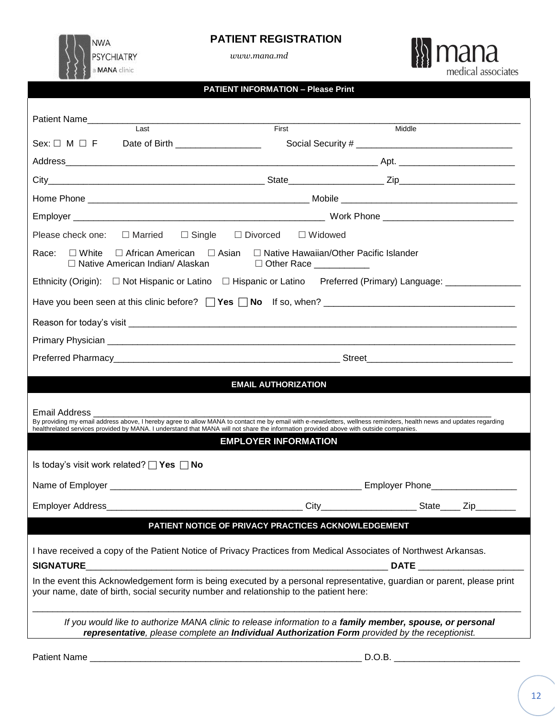

# **PATIENT REGISTRATION**

 *www.mana.md*



| Patient Name<br>Last                                                                                                                                                                                                                                                                                                         | First                                                                      | Middle                      |
|------------------------------------------------------------------------------------------------------------------------------------------------------------------------------------------------------------------------------------------------------------------------------------------------------------------------------|----------------------------------------------------------------------------|-----------------------------|
| $Sex: \Box M \Box F$<br>Date of Birth ___________________                                                                                                                                                                                                                                                                    |                                                                            |                             |
|                                                                                                                                                                                                                                                                                                                              |                                                                            |                             |
|                                                                                                                                                                                                                                                                                                                              |                                                                            |                             |
|                                                                                                                                                                                                                                                                                                                              |                                                                            |                             |
|                                                                                                                                                                                                                                                                                                                              |                                                                            |                             |
| $\Box$ Single<br>□ Married<br>Please check one:                                                                                                                                                                                                                                                                              | □ Divorced □ Widowed                                                       |                             |
| □ African American □ Asian<br>Race:<br>$\Box$ White<br>$\Box$ Native American Indian/ Alaskan                                                                                                                                                                                                                                | $\Box$ Native Hawaiian/Other Pacific Islander<br>□ Other Race ____________ |                             |
| Ethnicity (Origin): □ Not Hispanic or Latino □ Hispanic or Latino Preferred (Primary) Language: ______________                                                                                                                                                                                                               |                                                                            |                             |
| Have you been seen at this clinic before? $\Box$ Yes $\Box$ No If so, when? $\_\_\_\_\_\_\_\_\_\_\_\_\_\_\_\_\_\_\_\_$                                                                                                                                                                                                       |                                                                            |                             |
|                                                                                                                                                                                                                                                                                                                              |                                                                            |                             |
|                                                                                                                                                                                                                                                                                                                              |                                                                            |                             |
|                                                                                                                                                                                                                                                                                                                              |                                                                            |                             |
|                                                                                                                                                                                                                                                                                                                              | <b>EMAIL AUTHORIZATION</b>                                                 |                             |
| Email Address<br>By providing my email address above, I hereby agree to allow MANA to contact me by email with e-newsletters, wellness reminders, health news and updates regarding<br>healthrelated services provided by MANA. I understand that MANA will not share the information provided above with outside companies. | <b>EMPLOYER INFORMATION</b>                                                |                             |
|                                                                                                                                                                                                                                                                                                                              |                                                                            |                             |
| Is today's visit work related? $\Box$ Yes $\Box$ No                                                                                                                                                                                                                                                                          |                                                                            |                             |
|                                                                                                                                                                                                                                                                                                                              |                                                                            | Employer Phone_____________ |
| Employer Address                                                                                                                                                                                                                                                                                                             | City                                                                       | State<br>Zip.               |
|                                                                                                                                                                                                                                                                                                                              | PATIENT NOTICE OF PRIVACY PRACTICES ACKNOWLEDGEMENT                        |                             |
| I have received a copy of the Patient Notice of Privacy Practices from Medical Associates of Northwest Arkansas.                                                                                                                                                                                                             |                                                                            |                             |
| <b>SIGNATURE</b><br>In the event this Acknowledgement form is being executed by a personal representative, guardian or parent, please print<br>your name, date of birth, social security number and relationship to the patient here:                                                                                        |                                                                            | <b>DATE</b>                 |
| If you would like to authorize MANA clinic to release information to a family member, spouse, or personal<br>representative, please complete an Individual Authorization Form provided by the receptionist.                                                                                                                  |                                                                            |                             |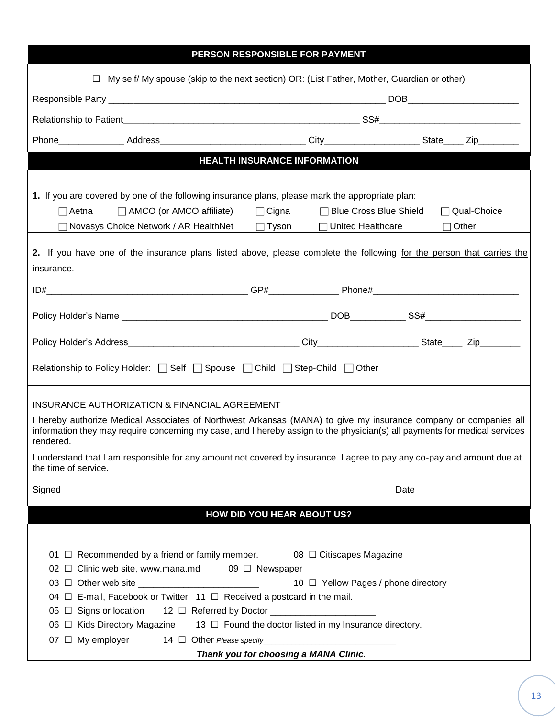| PERSON RESPONSIBLE FOR PAYMENT                                                                                                                                                                                                                                                                                                                                                                                                                         |
|--------------------------------------------------------------------------------------------------------------------------------------------------------------------------------------------------------------------------------------------------------------------------------------------------------------------------------------------------------------------------------------------------------------------------------------------------------|
| My self/ My spouse (skip to the next section) OR: (List Father, Mother, Guardian or other)                                                                                                                                                                                                                                                                                                                                                             |
|                                                                                                                                                                                                                                                                                                                                                                                                                                                        |
|                                                                                                                                                                                                                                                                                                                                                                                                                                                        |
|                                                                                                                                                                                                                                                                                                                                                                                                                                                        |
| <b>HEALTH INSURANCE INFORMATION</b>                                                                                                                                                                                                                                                                                                                                                                                                                    |
|                                                                                                                                                                                                                                                                                                                                                                                                                                                        |
| 1. If you are covered by one of the following insurance plans, please mark the appropriate plan:<br>$\Box$ AMCO (or AMCO affiliate)<br>$\Box$ Cigna<br>□ Blue Cross Blue Shield<br>$\Box$ Qual-Choice<br>$\Box$ Aetna<br>Novasys Choice Network / AR HealthNet<br>$\Box$ United Healthcare<br>$\Box$ Tyson<br>∃ Other                                                                                                                                  |
| 2. If you have one of the insurance plans listed above, please complete the following for the person that carries the<br>insurance.                                                                                                                                                                                                                                                                                                                    |
|                                                                                                                                                                                                                                                                                                                                                                                                                                                        |
|                                                                                                                                                                                                                                                                                                                                                                                                                                                        |
|                                                                                                                                                                                                                                                                                                                                                                                                                                                        |
| Relationship to Policy Holder: Self Spouse Child Step-Child Other                                                                                                                                                                                                                                                                                                                                                                                      |
| INSURANCE AUTHORIZATION & FINANCIAL AGREEMENT                                                                                                                                                                                                                                                                                                                                                                                                          |
| I hereby authorize Medical Associates of Northwest Arkansas (MANA) to give my insurance company or companies all<br>information they may require concerning my case, and I hereby assign to the physician(s) all payments for medical services<br>rendered.                                                                                                                                                                                            |
| I understand that I am responsible for any amount not covered by insurance. I agree to pay any co-pay and amount due at<br>the time of service.                                                                                                                                                                                                                                                                                                        |
|                                                                                                                                                                                                                                                                                                                                                                                                                                                        |
| <b>HOW DID YOU HEAR ABOUT US?</b>                                                                                                                                                                                                                                                                                                                                                                                                                      |
|                                                                                                                                                                                                                                                                                                                                                                                                                                                        |
| 01 $\Box$ Recommended by a friend or family member. 08 $\Box$ Citiscapes Magazine<br>02 □ Clinic web site, www.mana.md 09 □ Newspaper<br>10 □ Yellow Pages / phone directory<br>04 $\Box$ E-mail, Facebook or Twitter 11 $\Box$ Received a postcard in the mail.<br>05 □ Signs or location 12 □ Referred by Doctor _________________________________<br>06 $\Box$ Kids Directory Magazine 13 $\Box$ Found the doctor listed in my Insurance directory. |
| Thank you for choosing a MANA Clinic.                                                                                                                                                                                                                                                                                                                                                                                                                  |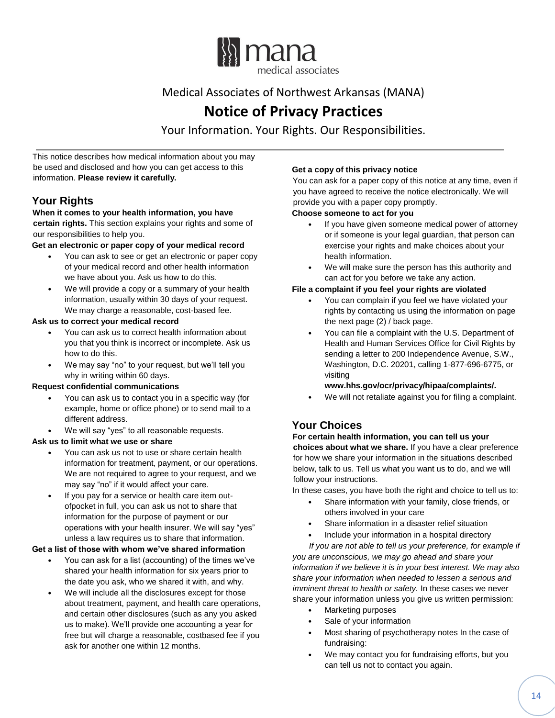

# Medical Associates of Northwest Arkansas (MANA)

# **Notice of Privacy Practices**

Your Information. Your Rights. Our Responsibilities.

This notice describes how medical information about you may be used and disclosed and how you can get access to this information. **Please review it carefully.** 

# **Your Rights**

#### **When it comes to your health information, you have**

**certain rights.** This section explains your rights and some of our responsibilities to help you.

#### **Get an electronic or paper copy of your medical record**

- You can ask to see or get an electronic or paper copy of your medical record and other health information we have about you. Ask us how to do this.
- We will provide a copy or a summary of your health information, usually within 30 days of your request. We may charge a reasonable, cost-based fee.

#### **Ask us to correct your medical record**

- You can ask us to correct health information about you that you think is incorrect or incomplete. Ask us how to do this.
- We may say "no" to your request, but we'll tell you why in writing within 60 days.

#### **Request confidential communications**

- You can ask us to contact you in a specific way (for example, home or office phone) or to send mail to a different address.
- We will say "yes" to all reasonable requests.

#### **Ask us to limit what we use or share**

- You can ask us not to use or share certain health information for treatment, payment, or our operations. We are not required to agree to your request, and we may say "no" if it would affect your care.
- If you pay for a service or health care item outofpocket in full, you can ask us not to share that information for the purpose of payment or our operations with your health insurer. We will say "yes" unless a law requires us to share that information.

#### **Get a list of those with whom we've shared information**

- You can ask for a list (accounting) of the times we've shared your health information for six years prior to the date you ask, who we shared it with, and why.
- We will include all the disclosures except for those about treatment, payment, and health care operations, and certain other disclosures (such as any you asked us to make). We'll provide one accounting a year for free but will charge a reasonable, costbased fee if you ask for another one within 12 months.

#### **Get a copy of this privacy notice**

You can ask for a paper copy of this notice at any time, even if you have agreed to receive the notice electronically. We will provide you with a paper copy promptly.

#### **Choose someone to act for you**

- If you have given someone medical power of attorney or if someone is your legal guardian, that person can exercise your rights and make choices about your health information.
- We will make sure the person has this authority and can act for you before we take any action.

#### **File a complaint if you feel your rights are violated**

- You can complain if you feel we have violated your rights by contacting us using the information on page the next page (2) / back page.
- You can file a complaint with the U.S. Department of Health and Human Services Office for Civil Rights by sending a letter to 200 Independence Avenue, S.W., Washington, D.C. 20201, calling 1-877-696-6775, or visiting

#### **www.hhs.gov/ocr/privacy/hipaa/complaints/.**

We will not retaliate against you for filing a complaint.

# **Your Choices**

**For certain health information, you can tell us your choices about what we share.** If you have a clear preference for how we share your information in the situations described below, talk to us. Tell us what you want us to do, and we will follow your instructions.

In these cases, you have both the right and choice to tell us to:

- Share information with your family, close friends, or others involved in your care
- Share information in a disaster relief situation
- Include your information in a hospital directory

*If you are not able to tell us your preference, for example if you are unconscious, we may go ahead and share your information if we believe it is in your best interest. We may also share your information when needed to lessen a serious and imminent threat to health or safety.* In these cases we never share your information unless you give us written permission:

- Marketing purposes
- Sale of your information
- Most sharing of psychotherapy notes In the case of fundraising:
- We may contact you for fundraising efforts, but you can tell us not to contact you again.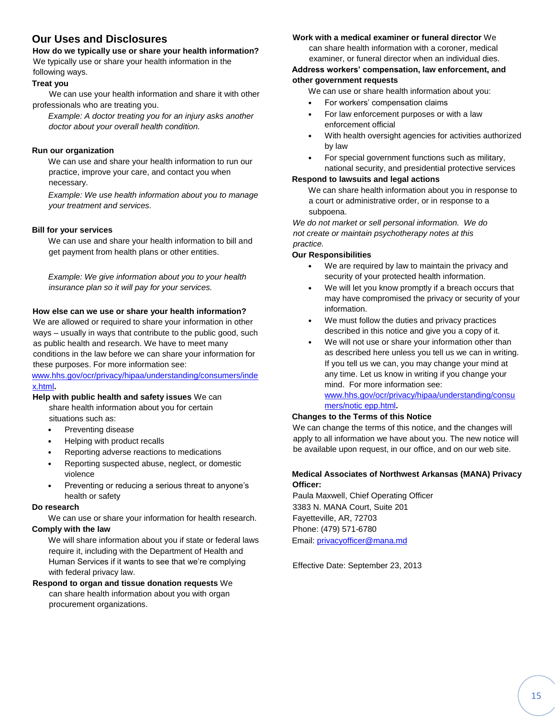# **Our Uses and Disclosures**

#### **How do we typically use or share your health information?**

We typically use or share your health information in the following ways.

#### **Treat you**

We can use your health information and share it with other professionals who are treating you.

*Example: A doctor treating you for an injury asks another doctor about your overall health condition.*

#### **Run our organization**

We can use and share your health information to run our practice, improve your care, and contact you when necessary.

*Example: We use health information about you to manage your treatment and services.* 

#### **Bill for your services**

We can use and share your health information to bill and get payment from health plans or other entities.

*Example: We give information about you to your health insurance plan so it will pay for your services.* 

#### **How else can we use or share your health information?**

We are allowed or required to share your information in other ways – usually in ways that contribute to the public good, such as public health and research. We have to meet many conditions in the law before we can share your information for these purposes. For more information see:

#### www.hhs.gov/ocr/privacy/hipaa/understanding/consumers/inde x.html**.**

#### **Help with public health and safety issues** We can

share health information about you for certain situations such as:

- Preventing disease
- Helping with product recalls
- Reporting adverse reactions to medications
- Reporting suspected abuse, neglect, or domestic violence
- Preventing or reducing a serious threat to anyone's health or safety

#### **Do research**

We can use or share your information for health research.

#### **Comply with the law**

We will share information about you if state or federal laws require it, including with the Department of Health and Human Services if it wants to see that we're complying with federal privacy law.

### **Respond to organ and tissue donation requests** We

can share health information about you with organ procurement organizations.

#### **Work with a medical examiner or funeral director** We

can share health information with a coroner, medical examiner, or funeral director when an individual dies.

#### **Address workers' compensation, law enforcement, and other government requests**

We can use or share health information about you:

- For workers' compensation claims
- For law enforcement purposes or with a law enforcement official
- With health oversight agencies for activities authorized by law
- For special government functions such as military, national security, and presidential protective services

#### **Respond to lawsuits and legal actions**

We can share health information about you in response to a court or administrative order, or in response to a subpoena.

*We do not market or sell personal information. We do not create or maintain psychotherapy notes at this practice.* 

#### **Our Responsibilities**

- We are required by law to maintain the privacy and security of your protected health information.
- We will let you know promptly if a breach occurs that may have compromised the privacy or security of your information.
- We must follow the duties and privacy practices described in this notice and give you a copy of it.
- We will not use or share your information other than as described here unless you tell us we can in writing. If you tell us we can, you may change your mind at any time. Let us know in writing if you change your mind. For more information see:

www.hhs.gov/ocr/privacy/hipaa/understanding/consu mers/notic epp.html**.** 

#### **Changes to the Terms of this Notice**

We can change the terms of this notice, and the changes will apply to all information we have about you. The new notice will be available upon request, in our office, and on our web site.

#### **Medical Associates of Northwest Arkansas (MANA) Privacy Officer:**

Paula Maxwell, Chief Operating Officer 3383 N. MANA Court, Suite 201 Fayetteville, AR, 72703 Phone: (479) 571-6780 Email: privacyofficer@mana.md

Effective Date: September 23, 2013